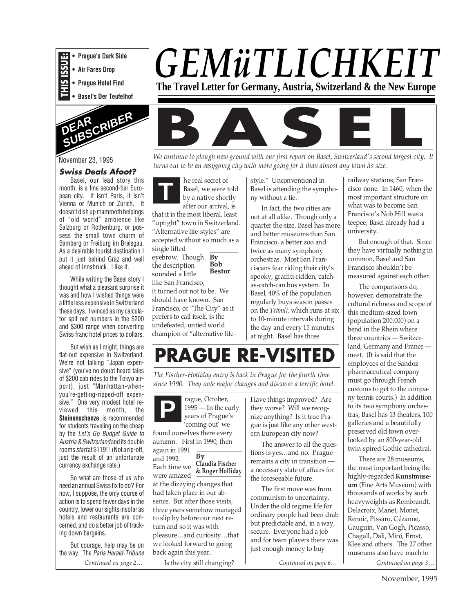

**• Air Fares Drop**

**• Prague Hotel Find**

**• Basel's Der Teufelhof**



#### November 23, 1995

#### **Swiss Deals Afoot?**

Basel, our lead story this month, is a fine second-tier European city. It isn't Paris, it isn't Vienna or Munich or Zürich. It doesn't dish up mammoth helpings of "old world" ambience like Salzburg or Rothenburg, or possess the small town charm of Bamberg or Freiburg im Breisgau. As a desirable tourist destination I put it just behind Graz and well ahead of Innsbruck. I like it.

While writing the Basel story I thought what a pleasant surprise it was and how I wished things were a little less expensive in Switzerland these days. I winced as my calculator spit out numbers in the \$200 and \$300 range when converting Swiss franc hotel prices to dollars.

But wish as I might, things are flat-out expensive in Switzerland. We're not talking "Japan expensive" (you've no doubt heard tales of \$200 cab rides to the Tokyo airport), just "Manhattan-whenyou're-getting-ripped-off expensive." One very modest hotel reviewed this month, the **Steinenschanze**, is recommended for students traveling on the cheap by the Let's Go Budget Guide to Austria & Switzerlandand its double rooms start at \$119!! (Not a rip-off, just the result of an unfortunate currency exchange rate.)

So what are those of us who need an annual Swiss fix to do? For now, I suppose, the only course of action is to spend fewer days in the country, lower our sights insofar as hotels and restaurants are concerned, and do a better job of tracking down bargains.

*Continued on page 2…* But courage, help may be on the way. The Paris Herald-Tribune

# *GEMüTLICHKEIT*

**The Travel Letter for Germany, Austria, Switzerland & the New Europe**



*turns out to be an easygoing city with more going for it than almost any town its size.*

**T** eyebrow. Though  $\, {\bf By}$ **Bob Bestor** he real secret of Basel, we were told by a native shortly after our arrival, is that it is the most liberal, least "uptight" town in Switzerland. "Alternative life-styles" are accepted without so much as a single lifted the description sounded a little like San Francisco, it turned out not to be. We should have known. San Francisco, or "The City" as it prefers to call itself, is the undefeated, untied world champion of "alternative lifestyle." Unconventional in Basel is attending the symphony without a tie.

In fact, the two cities are not at all alike. Though only a quarter the size, Basel has more and better museums than San Francisco, a better zoo and twice as many symphony orchestras. Most San Franciscans fear riding their city's spooky, graffiti-ridden, catchas-catch-can bus system. In Basel, 40% of the population regularly buys season passes on the *Trämli*, which runs at six to 10-minute intervals during the day and every 15 minutes at night. Basel has three

railway stations; San Francisco none. In 1460, when the most important structure on what was to become San Francisco's Nob Hill was a teepee, Basel already had a university.

But enough of that. Since they have virtually nothing in common, Basel and San Francisco shouldn't be measured against each other.

The comparisons do, however, demonstrate the cultural richness and scope of this medium-sized town (population 200,000) on a bend in the Rhein where three countries — Switzerland, Germany and France meet. (It is said that the employees of the Sandoz pharmaceutical company must go through French customs to get to the company tennis courts.) In addition to its two symphony orchestras, Basel has 13 theaters, 100 galleries and a beautifully preserved old town overlooked by an 800-year-old twin-spired Gothic cathedral.

*Continued on page 3…* There are 28 museums, the most important being the highly-regarded **Kunstmuseum** (Fine Arts Museum) with thousands of works by such heavyweights as Rembrandt, Delacroix, Manet, Monet, Renoir, Pissaro, Cézanne, Gauguin, Van Gogh, Picasso, Chagall, Dali, Miró, Ernst, Klee and others. The 27 other museums also have much to

**PRAGUE RE-VISITED**

*The Fischer-Holliday entry is back in Prague for the fourth time since 1990. They note major changes and discover a terrific hotel.*

1995 — In the early years of Prague's 'coming out' we found ourselves there every autumn. First in 1990, then again in 1991 and 1992. Each time we **Claudia Fischer** were amazed at the dizzying changes that had taken place in our absence. But after those visits, three years somehow managed to slip by before our next return and so it was with pleasure…and curiosity…that we looked forward to going back again this year. **P**  $\overline{\mathbf{B}\mathbf{v}}$ **& Roger Holliday**

rague, October,

Is the city still changing?

Have things improved? Are they worse? Will we recognize anything? Is it true Prague is just like any other western European city now?

The answer to all the questions is yes…and no. Prague remains a city in transition a necessary state of affairs for the foreseeable future.

The first move was from communism to uncertainty. Under the old regime life for ordinary people had been drab but predictable and, in a way, secure. Everyone had a job and for team players there was just enough money to buy

*Continued on page 6…*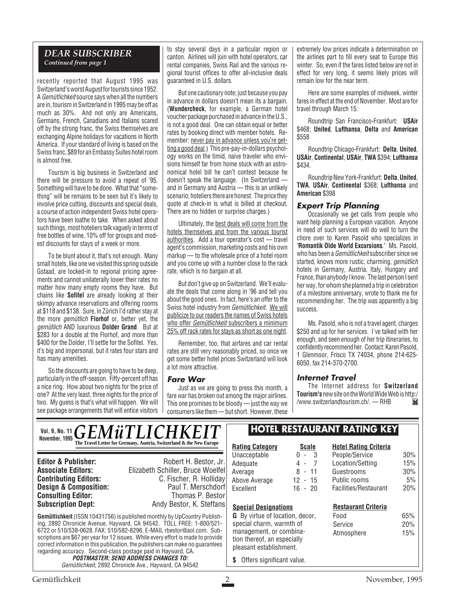#### *DEAR SUBSCRIBER Continued from page 1*

recently reported that August 1995 was Switzerland's worst August for tourists since 1952. A Gemütlichkeit source says when all the numbers are in, tourism in Switzerland in 1995 may be off as much as 30%. And not only are Americans, Germans, French, Canadians and Italians scared off by the strong franc, the Swiss themselves are exchanging Alpine holidays for vacations in North America. If your standard of living is based on the Swiss franc, \$89 for an Embassy Suites hotel room is almost free.

Tourism is big business in Switzerland and there will be pressure to avoid a repeat of '95. Something will have to be done. What that "something" will be remains to be seen but it's likely to involve price cutting, discounts and special deals, a course of action independent Swiss hotel operators have been loathe to take. When asked about such things, most hoteliers talk vaguely in terms of free bottles of wine, 10% off for groups and modest discounts for stays of a week or more.

To be blunt about it, that's not enough. Many small hotels, like one we visited this spring outside Gstaad, are locked-in to regional pricing agreements and cannot unilaterally lower their rates no matter how many empty rooms they have. But chains like **Sofitel** are already looking at their skimpy advance reservations and offering rooms at \$118 and \$138. Sure, in Zürich I'd rather stay at the more gemütlich **Florhof** or, better yet, the gemütlich AND luxurious **Dolder Grand**. But at \$283 for a double at the Florhof, and more than \$400 for the Dolder, I'll settle for the Sofitel. Yes, it's big and impersonal, but it rates four stars and has many amenities.

So the discounts are going to have to be deep, particularly in the off-season. Fifty-percent off has a nice ring. How about two nights for the price of one? At the very least, three nights for the price of two. My guess is that's what will happen. We will see package arrangements that will entice visitors

to stay several days in a particular region or canton. Airlines will join with hotel operators, car rental companies, Swiss Rail and the various regional tourist offices to offer all-inclusive deals guaranteed in U.S. dollars.

But one cautionary note; just because you pay in advance in dollars doesn't mean its a bargain. (**Wundercheck**, for example, a German hotel voucher package purchased in advance in the U.S., is not a good deal. One can obtain equal or better rates by booking direct with member hotels. Remember: never pay in advance unless you're getting a good deal.) This pre-pay-in-dollars psychology works on the timid, naive traveler who envisions himself far from home stuck with an astronomical hotel bill he can't contest because he doesn't speak the language. (In Switzerland and in Germany and Austria — this is an unlikely scenario; hoteliers there are honest. The price they quote at check-in is what is billed at checkout. There are no hidden or surprise charges.)

Ultimately, the best deals will come from the hotels themselves and from the various tourist authorities. Add a tour operator's cost — travel agent's commission, marketing costs and his own markup — to the wholesale price of a hotel room and you come up with a number close to the rack rate, which is no bargain at all.

But don't give up on Switzerland. We'll evaluate the deals that come along in '96 and tell you about the good ones. In fact, here's an offer to the Swiss hotel industry from Gemütlichkeit. We will publicize to our readers the names of Swiss hotels who offer *Gemütlichkeit* subscribers a minimum 25% off rack rates for stays as short as one night.

Remember, too, that airfares and car rental rates are still very reasonably priced, so once we get some better hotel prices Switzerland will look a lot more attractive.

#### **Fare War**

Just as we are going to press this month, a fare war has broken out among the major airlines. This one promises to be bloody — just the way we consumers like them — but short. However, these extremely low prices indicate a determination on the airlines part to fill every seat to Europe this winter. So, even if the fares listed below are not in effect for very long, it seems likely prices will remain low for the near term.

Here are some examples of midweek, winter fares in effect at the end of November. Most are for travel through March 15:

Roundtrip San Francisco-Frankfurt: **USAir** \$468; **United**, **Lufthansa**, **Delta** and **American** \$558

Roundtrip Chicago-Frankfurt: **Delta**, **United**, **USAir**, **Continental**, **USAir**, **TWA** \$394; **Lufthansa** \$434.

Roundtrip New York-Frankfurt: **Delta**, **United**, **TWA**, **USAir**, **Continental** \$368; **Lufthansa** and **American** \$398

#### **Expert Trip Planning**

Occasionally we get calls from people who want help planning a European vacation. Anyone in need of such services will do well to turn the chore over to Karen Pasold who specializes in "**Romantik Olde World Excursions**." Ms. Pasold, who has been a *Gemütlichkeit* subscriber since we started, knows more rustic, charming, *gemütlich* hotels in Germany, Austria, Italy, Hungary and France, than anybody I know. The last person I sent her way, for whom she planned a trip in celebration of a milestone anniversary, wrote to thank me for recommending her. The trip was apparently a big success.

Ms. Pasold, who is not a travel agent, charges \$250 and up for her services. I've talked with her enough, and seen enough of her trip itineraries, to confidently recommend her. Contact: Karen Pasold, 1 Glenmoor, Frisco TX 74034, phone 214-625- 6050, fax 214-370-2700.

#### **Internet Travel**

The Internet address for **Switzerland Tourism's**new site on the World Wide Web is http:/ /www.switzerlandtourism.ch/. — RHB $\blacksquare$ 

|  | VOI. 9, NO. 11 $GEMW$ The Travel Letter for Germany, Austria, Switzerland & the New Europe |  |
|--|--------------------------------------------------------------------------------------------|--|
|  |                                                                                            |  |

**Consulting Editor:**<br>Subscription Dept:

**Editor & Publisher:** Robert H. Bestor, Jr. **Associate Editors:** Elizabeth Schiller, Bruce Woelfel **C. Fischer, R. Holliday**<br>Paul T. Merschdorf **Design & Composition:** Paul T. Merschdorf **Consulting Editor:** Paul T. Merschdorf **Consulting Editor:** Paul Thomas P. Bestor Andy Bestor, K. Steffans

**Gemütlichkeit** (ISSN 10431756) is published monthly by UpCountry Publishing, 2892 Chronicle Avenue, Hayward, CA 94542. TOLL FREE: 1-800/521- 6722 or 510/538-0628. FAX: 510/582-8296, E-MAIL rbestor@aol.com. Subscriptions are \$67 per year for 12 issues. While every effort is made to provide correct information in this publication, the publishers can make no guarantees regarding accuracy. Second-class postage paid in Hayward, CA.

**POSTMASTER: SEND ADDRESS CHANGES TO:** Gemütlichkeit, 2892 Chronicle Ave., Hayward, CA 94542

# **HOTEL RESTAURANT RATING KEY**

**Rating Category Scale** Unacceptable 0 - 3<br>Adequate 4 - 7 Adequate  $\begin{array}{ccc} 4 & -7 \\ 4 & -7 \end{array}$ Average Above Average 12 - 15

**Special Designations**

**\$** Offers significant value.

# Excellent 16 - 20

#### **Hotel Rating Criteria** People/Service 30% Location/Setting 15% Guestrooms 30% Public rooms 5%

Facilities/Restaurant 20%

#### **Restaurant Criteria**

**G** By virtue of location, decor, special charm, warmth of management, or combination thereof, an especially pleasant establishment.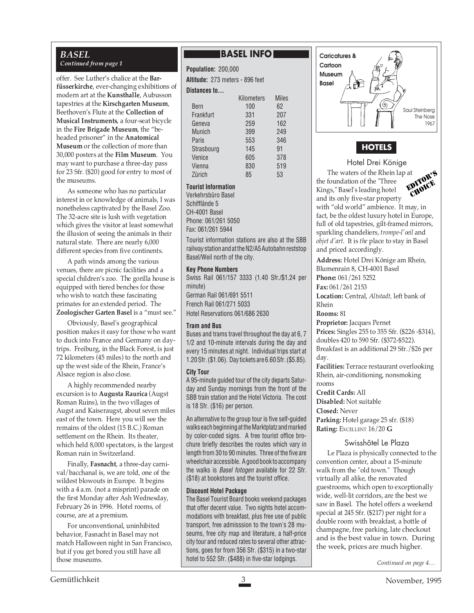#### *BASEL Continued from page 1*

offer. See Luther's chalice at the **Barfüsserkirche**, ever-changing exhibitions of modern art at the **Kunsthalle**, Aubusson tapestries at the **Kirschgarten Museum**, Beethoven's Flute at the **Collection of Musical Instruments**, a four-seat bicycle in the **Fire Brigade Museum**, the "beheaded prisoner" in the **Anatomical Museum** or the collection of more than 30,000 posters at the **Film Museum**. You may want to purchase a three-day pass for 23 Sfr. (\$20) good for entry to most of the museums.

As someone who has no particular interest in or knowledge of animals, I was nonetheless captivated by the Basel Zoo. The 32-acre site is lush with vegetation which gives the visitor at least somewhat the illusion of seeing the animals in their natural state. There are nearly 6,000 different species from five continents.

A path winds among the various venues, there are picnic facilities and a special children's zoo. The gorilla house is equipped with tiered benches for those who wish to watch these fascinating primates for an extended period. The **Zoologischer Garten Basel** is a "must see."

Obviously, Basel's geographical position makes it easy for those who want to duck into France and Germany on daytrips. Freiburg, in the Black Forest, is just 72 kilometers (45 miles) to the north and up the west side of the Rhein, France's Alsace region is also close.

A highly recommended nearby excursion is to **Augusta Raurica** (Augst Roman Ruins), in the two villages of Augst and Kaiseraugst, about seven miles east of the town. Here you will see the remains of the oldest (15 B.C.) Roman settlement on the Rhein. Its theater, which held 8,000 spectators, is the largest Roman ruin in Switzerland.

Finally, **Fasnacht**, a three-day carnival/bacchanal is, we are told, one of the wildest blowouts in Europe. It begins with a 4 a.m. (not a misprint) parade on the first Monday after Ash Wednesday, February 26 in 1996. Hotel rooms, of course, are at a premium.

For unconventional, uninhibited behavior, Fasnacht in Basel may not match Halloween night in San Francisco, but if you get bored you still have all those museums.

## **BASEL INFOI**

**Population:** 200,000 **Altitude:** 273 meters - 896 feet **Distances to...**

|               | Kilometers | <b>Miles</b> |  |
|---------------|------------|--------------|--|
| Bern          | 100        | 62           |  |
| Frankfurt     | 331        | 207          |  |
| Geneva        | 259        | 162          |  |
| <b>Munich</b> | 399        | 249          |  |
| Paris         | 553        | 346          |  |
| Strasbourg    | 145        | 91           |  |
| Venice        | 605        | 378          |  |
| Vienna        | 830        | 519          |  |
| Zürich        | 85         | 53           |  |

#### **Tourist Information**

Verkehrsbüro Basel Schifflände 5 CH-4001 Basel Phone: 061/261 5050 Fax: 061/261 5944

Tourist information stations are also at the SBB railway station and at the N2/A5 Autobahn reststop Basel/Weil north of the city.

#### **Key Phone Numbers**

Swiss Rail 061/157 3333 (1.40 Sfr./\$1.24 per minute) German Rail 061/691 5511 French Rail 061/271 5033 Hotel Reservations 061/686 2630

#### **Tram and Bus**

Buses and trams travel throughout the day at 6, 7 1/2 and 10-minute intervals during the day and every 15 minutes at night. Individual trips start at 1.20 Sfr. (\$1.06). Day tickets are 6.60 Sfr. (\$5.85).

#### **City Tour**

A 95-minute guided tour of the city departs Saturday and Sunday mornings from the front of the SBB train station and the Hotel Victoria. The cost is 18 Sfr. (\$16) per person.

An alternative to the group tour is five self-guided walks each beginning at the Marktplatz and marked by color-coded signs. A free tourist office brochure briefly describes the routes which vary in length from 30 to 90 minutes. Three of the five are wheelchair accessible. A good book to accompany the walks is *Basel fotogen* available for 22 Sfr. (\$18) at bookstores and the tourist office.

#### **Discount Hotel Package**

The Basel Tourist Board books weekend packages that offer decent value. Two nights hotel accommodations with breakfast, plus free use of public transport, free admisssion to the town's 28 museums, free city map and literature, a half-price city tour and reduced rates to several other attractions, goes for from 356 Sfr. (\$315) in a two-star hotel to 552 Sfr. (\$488) in five-star lodgings.



# **HOTELS**

Hotel Drei Könige The waters of the Rhein lap at the foundation of the "Three Kings," Basel's leading hotel



and its only five-star property with "old world" ambience. It may, in fact, be the oldest luxury hotel in Europe, full of old tapestries, gilt-framed mirrors, sparkling chandeliers, *trompe-l'oeil* and *objet d'art*. It is *the* place to stay in Basel and priced accordingly.

**Address:** Hotel Drei Könige am Rhein, Blumenrain 8, CH-4001 Basel **Phone:** 061/261 5252 **Fax:** 061/261 2153 **Location:** Central, *Altstadt,* left bank of Rhein

**Rooms:** 81

**Proprietor:** Jacques Pernet **Prices:** Singles 255 to 355 Sfr. (\$226 -\$314), doubles 420 to 590 Sfr. (\$372-\$522). Breakfast is an additional 29 Sfr./\$26 per

day.

**Facilities:** Terrace restaurant overlooking Rhein, air-conditioning, nonsmoking rooms

**Credit Cards:** All **Disabled:** Not suitable **Closed:** Never Parking: Hotel garage 25 sfr. (\$18) **Rating:** EXCELLENT 16/20 **G**

#### Swisshôtel Le Plaza

Le Plaza is physically connected to the convention center, about a 15-minute walk from the "old town." Though virtually all alike, the renovated guestrooms, which open to exceptionally wide, well-lit corridors, are the best we saw in Basel. The hotel offers a weekend special at 245 Sfr. (\$217) per night for a double room with breakfast, a bottle of champagne, free parking, late checkout and is the best value in town. During the week, prices are much higher.

*Continued on page 4…*

Gemütlichkeit 1995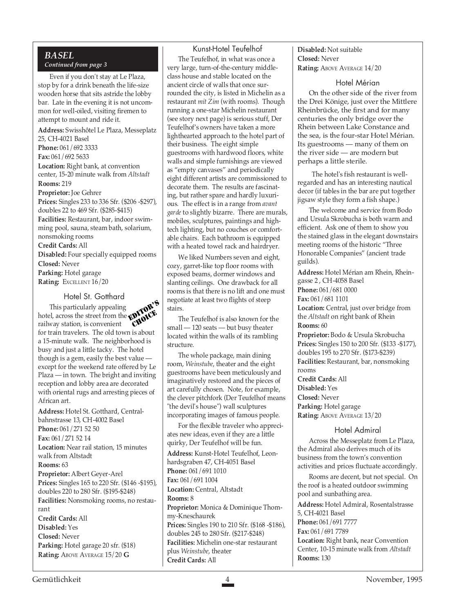#### *BASEL Continued from page 3*

Even if you don't stay at Le Plaza, stop by for a drink beneath the life-size wooden horse that sits astride the lobby bar. Late in the evening it is not uncommon for well-oiled, visiting firemen to attempt to mount and ride it.

**Address:** Swisshôtel Le Plaza, Messeplatz 25, CH-4021 Basel **Phone:** 061/692 3333 **Fax:** 061/692 5633 **Location:** Right bank, at convention center, 15-20 minute walk from *Altstadt* **Rooms:** 219 **Proprietor:** Joe Gehrer **Prices:** Singles 233 to 336 Sfr. (\$206 -\$297), doubles 22 to 469 Sfr. (\$285-\$415)

**Facilities:** Restaurant, bar, indoor swimming pool, sauna, steam bath, solarium, nonsmoking rooms

**Credit Cards:** All

**Disabled:** Four specially equipped rooms **Closed:** Never **Parking:** Hotel garage

**Rating:** EXCELLENT 16/20

#### Hotel St. Gotthard

This particularly appealing hotel, across the street from the railway station, is convenient for train travelers. The old town is about a 15-minute walk. The neighborhood is busy and just a little tacky. The hotel though is a gem, easily the best value except for the weekend rate offered by Le Plaza — in town. The bright and inviting reception and lobby area are decorated with oriental rugs and arresting pieces of African art. EDITOR'S CHOICE

**Address:** Hotel St. Gotthard, Centralbahnstrasse 13, CH-4002 Basel **Phone:** 061/271 52 50 **Fax:** 061/271 52 14 **Location:** Near rail station, 15 minutes walk from Altstadt **Rooms:** 63 **Proprietor:** Albert Geyer-Arel **Prices:** Singles 165 to 220 Sfr. (\$146 -\$195), doubles 220 to 280 Sfr. (\$195-\$248) **Facilities:** Nonsmoking rooms, no restaurant **Credit Cards:** All **Disabled:** Yes **Closed:** Never Parking: Hotel garage 20 sfr. (\$18) **Rating:** ABOVE AVERAGE 15/20 **G**

#### Kunst-Hotel Teufelhof

The Teufelhof, in what was once a very large, turn-of-the-century middleclass house and stable located on the ancient circle of walls that once surrounded the city, is listed in Michelin as a restaurant *mit Zim* (with rooms). Though running a one-star Michelin restaurant (see story next page) is serious stuff, Der Teufelhof's owners have taken a more lighthearted approach to the hotel part of their business. The eight simple guestrooms with hardwood floors, white walls and simple furnishings are viewed as "empty canvases" and periodically eight different artists are commissioned to decorate them. The results are fascinating, but rather spare and hardly luxurious. The effect is in a range from *avant garde* to slightly bizarre. There are murals, mobiles, sculptures, paintings and hightech lighting, but no couches or comfortable chairs. Each bathroom is equipped with a heated towel rack and hairdryer.

We liked Numbers seven and eight, cozy, garret-like top floor rooms with exposed beams, dormer windows and slanting ceilings. One drawback for all rooms is that there is no lift and one must negotiate at least two flights of steep stairs.

The Teufelhof is also known for the small — 120 seats — but busy theater located within the walls of its rambling structure.

The whole package, main dining room, *Weinstube*, theater and the eight guestrooms have been meticulously and imaginatively restored and the pieces of art carefully chosen. Note, for example, the clever pitchfork (Der Teufelhof means "the devil's house") wall sculptures incorporating images of famous people.

For the flexible traveler who appreciates new ideas, even if they are a little quirky, Der Teufelhof will be fun. **Address:** Kunst-Hotel Teufelhof, Leonhardsgraben 47, CH-4051 Basel **Phone:** 061/691 1010 **Fax:** 061/691 1004 **Location:** Central, Altstadt **Rooms:** 8 **Proprietor:** Monica & Dominique Thommy-Kneschaurek **Prices:** Singles 190 to 210 Sfr. (\$168 -\$186), doubles 245 to 280 Sfr. (\$217-\$248) **Facilities:** Michelin one-star restaurant plus *Weinstube*, theater **Credit Cards:** All

#### **Disabled:** Not suitable **Closed:** Never **Rating:** ABOVE AVERAGE 14/20

#### Hotel Mérian

On the other side of the river from the Drei Könige, just over the Mittlere Rheinbrücke, the first and for many centuries the only bridge over the Rhein between Lake Constance and the sea, is the four-star Hotel Mérian. Its guestrooms — many of them on the river side — are modern but perhaps a little sterile.

 The hotel's fish restaurant is wellregarded and has an interesting nautical decor (if tables in the bar are put together jigsaw style they form a fish shape.)

The welcome and service from Bodo and Ursula Skrobucha is both warm and efficient. Ask one of them to show you the stained glass in the elegant downstairs meeting rooms of the historic "Three Honorable Companies" (ancient trade guilds).

**Address:** Hotel Mérian am Rhein, Rheingasse 2 , CH-4058 Basel **Phone:** 061/681 0000 **Fax:** 061/681 1101 Location: Central, just over bridge from the *Altstadt* on right bank of Rhein **Rooms:** 60 **Proprietor:** Bodo & Ursula Skrobucha **Prices:** Singles 150 to 200 Sfr. (\$133 -\$177), doubles 195 to 270 Sfr. (\$173-\$239) **Facilities:** Restaurant, bar, nonsmoking

rooms **Credit Cards:** All **Disabled:** Yes **Closed:** Never **Parking:** Hotel garage Rating: ABOVE AVERAGE 13/20

#### Hotel Admiral

Across the Messeplatz from Le Plaza, the Admiral also derives much of its business from the town's convention activities and prices fluctuate accordingly.

Rooms are decent, but not special. On the roof is a heated outdoor swimming pool and sunbathing area.

**Address:** Hotel Admiral, Rosentalstrasse 5, CH-4021 Basel **Phone:** 061/691 7777 **Fax:** 061/691 7789

**Location:** Right bank, near Convention Center, 10-15 minute walk from *Altstadt* **Rooms:** 130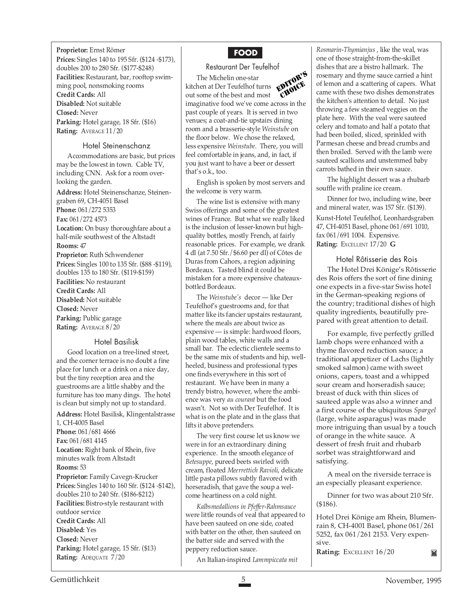**Proprietor:** Ernst Römer **Prices:** Singles 140 to 195 Sfr. (\$124 -\$173), doubles 200 to 280 Sfr. (\$177-\$248) **Facilities:** Restaurant, bar, rooftop swimming pool, nonsmoking rooms **Credit Cards:** All **Disabled:** Not suitable **Closed:** Never **Parking:** Hotel garage, 18 Sfr. (\$16) **Rating:** AVERAGE 11/20

#### Hotel Steinenschanz

Accommodations are basic, but prices may be the lowest in town. Cable TV, including CNN. Ask for a room overlooking the garden.

**Address:** Hotel Steinenschanze, Steinengraben 69, CH-4051 Basel **Phone:** 061/272 5353 **Fax:** 061/272 4573 Location: On busy thoroughfare about a half-mile southwest of the Altstadt **Rooms:** 47 **Proprietor:** Ruth Schwendener **Prices:** Singles 100 to 135 Sfr. (\$88 -\$119), doubles 135 to 180 Sfr. (\$119-\$159) **Facilities:** No restaurant **Credit Cards:** All **Disabled:** Not suitable **Closed:** Never **Parking:** Public garage **Rating:** AVERAGE 8/20

#### Hotel Basilisk

Good location on a tree-lined street, and the corner terrace is no doubt a fine place for lunch or a drink on a nice day, but the tiny reception area and the guestrooms are a little shabby and the furniture has too many dings. The hotel is clean but simply not up to standard.

**Address:** Hotel Basilisk, Klingentalstrasse 1, CH-4005 Basel **Phone:** 061/681 4666 **Fax:** 061/681 4145 **Location:** Right bank of Rhein, five minutes walk from Altstadt **Rooms:** 53 **Proprietor:** Family Cavegn-Krucker **Prices:** Singles 140 to 160 Sfr. (\$124 -\$142), doubles 210 to 240 Sfr. (\$186-\$212) **Facilities:** Bistro-style restaurant with outdoor service **Credit Cards:** All **Disabled:** Yes **Closed:** Never **Parking:** Hotel garage, 15 Sfr. (\$13) **Rating:** ADEQUATE 7/20

# **FOOD**

#### Restaurant Der Teufelhof

The Michelin one-star kitchen at Der Teufelhof turns out some of the best and most imaginative food we've come across in the past couple of years. It is served in two venues; a coat-and-tie upstairs dining room and a brasserie-style *Weinstube* on the floor below. We chose the relaxed, less expensive *Weinstube*. There, you will feel comfortable in jeans, and, in fact, if you just want to have a beer or dessert that's o.k., too. EDITOR'S CHOICE

English is spoken by most servers and the welcome is very warm.

The wine list is extensive with many Swiss offerings and some of the greatest wines of France. But what we really liked is the inclusion of lesser-known but highquality bottles, mostly French, at fairly reasonable prices. For example, we drank 4 dl (at 7.50 Sfr./\$6.60 per dl) of Côtes de Duras from Cahors, a region adjoining Bordeaux. Tasted blind it could be mistaken for a more expensive chateauxbottled Bordeaux.

The *Weinstube's* decor — like Der Teufelhof's guestrooms and, for that matter like its fancier upstairs restaurant, where the meals are about twice as expensive — is simple: hardwood floors, plain wood tables, white walls and a small bar. The eclectic clientele seems to be the same mix of students and hip, wellheeled, business and professional types one finds everywhere in this sort of restaurant. We have been in many a trendy bistro, however, where the ambience was very *au courant* but the food wasn't. Not so with Der Teufelhof. It is what is on the plate and in the glass that lifts it above pretenders.

The very first course let us know we were in for an extraordinary dining experience. In the smooth elegance of *Betesuppe*, pureed beets swirled with cream, floated *Meerrettich Ravioli*, delicate little pasta pillows subtly flavored with horseradish, that gave the soup a welcome heartiness on a cold night.

*Kalbsmedallions in Pfeffer-Rahmsauce* were little rounds of veal that appeared to have been sauteed on one side, coated with batter on the other, then sauteed on the batter side and served with the peppery reduction sauce.

An Italian-inspired *Lammpiccata mit*

*Rosmarin-Thymianjus* , like the veal, was one of those straight-from-the-skillet dishes that are a bistro hallmark. The rosemary and thyme sauce carried a hint of lemon and a scattering of capers. What came with these two dishes demonstrates the kitchen's attention to detail. No just throwing a few steamed veggies on the plate here. With the veal were sauteed celery and tomato and half a potato that had been boiled, sliced, sprinkled with Parmesan cheese and bread crumbs and then broiled. Served with the lamb were sauteed scallions and unstemmed baby carrots bathed in their own sauce.

The highlight dessert was a rhubarb souffle with praline ice cream.

Dinner for two, including wine, beer and mineral water, was 157 Sfr. (\$139). Kunst-Hotel Teufelhof, Leonhardsgraben 47, CH-4051 Basel, phone 061/691 1010, fax 061/691 1004. Expensive. **Rating:** EXCELLENT 17/20 **G**

#### Hotel Rôtisserie des Rois

The Hotel Drei Könige's Rôtisserie des Rois offers the sort of fine dining one expects in a five-star Swiss hotel in the German-speaking regions of the country; traditional dishes of high quality ingredients, beautifully prepared with great attention to detail.

For example, five perfectly grilled lamb chops were enhanced with a thyme flavored reduction sauce; a traditional appetizer of Lachs (lightly smoked salmon) came with sweet onions, capers, toast and a whipped sour cream and horseradish sauce; breast of duck with thin slices of sauteed apple was also a winner and a first course of the ubiquitous *Spargel* (large, white asparagus) was made more intriguing than usual by a touch of orange in the white sauce. A dessert of fresh fruit and rhubarb sorbet was straightforward and satisfying.

A meal on the riverside terrace is an especially pleasant experience.

Dinner for two was about 210 Sfr. (\$186).

Hotel Drei Könige am Rhein, Blumenrain 8, CH-4001 Basel, phone 061/261 5252, fax 061/261 2153. Very expensive.

**Rating:** EXCELLENT 16/20

 $\blacksquare$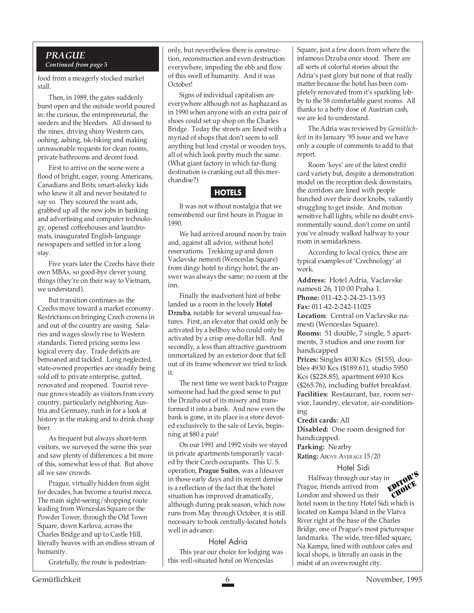#### *PRAGUE Continued from page 5*

food from a meagerly stocked market stall.

Then, in 1989, the gates suddenly burst open and the outside world poured in: the curious, the entrepreneurial, the seeders and the bleeders. All dressed to the nines, driving shiny Western cars, oohing, aahing, tsk-tsking and making unreasonable requests for clean rooms, private bathrooms and decent food.

First to arrive on the scene were a flood of bright, eager, young Americans, Canadians and Brits; smart-alecky kids who knew it all and never hesitated to say so. They scoured the want ads, grabbed up all the new jobs in banking and advertising and computer technology, opened coffeehouses and laundromats, inaugurated English-language newspapers and settled in for a long stay.

Five years later the Czechs have their own MBAs, so good-bye clever young things (they're on their way to Vietnam, we understand).

But transition continues as the Czechs move toward a market economy. Restrictions on bringing Czech crowns in and out of the country are easing. Salaries and wages slowly rise to Western standards. Tiered pricing seems less logical every day. Trade deficits are bemoaned and tackled. Long neglected, state-owned properties are steadily being sold off to private enterprise, gutted, renovated and reopened. Tourist revenue grows steadily as visitors from every country, particularly neighboring Austria and Germany, rush in for a look at history in the making and to drink cheap beer.

As frequent but always short-term visitors, we surveyed the scene this year and saw plenty of differences; a bit more of this, somewhat less of that. But above all we saw crowds.

Prague, virtually hidden from sight for decades, has become a tourist mecca. The main sight-seeing/shopping route leading from Wenceslas Square or the Powder Tower, through the Old Town Square, down Karlova, across the Charles Bridge and up to Castle Hill, literally heaves with an endless stream of humanity.

Gratefully, the route is pedestrian-

only, but nevertheless there is construction, reconstruction and even destruction everywhere, impeding the ebb and flow of this swell of humanity. And it was October!

Signs of individual capitalism are everywhere although not as haphazard as in 1990 when anyone with an extra pair of shoes could set up shop on the Charles Bridge. Today the streets are lined with a myriad of shops that don't seem to sell anything but lead crystal or wooden toys, all of which look pretty much the same. (What giant factory in which far-flung destination is cranking out all this merchandise?)

### **HOTELS**

It was not without nostalgia that we remembered our first hours in Prague in 1990.

We had arrived around noon by train and, against all advice, without hotel reservations. Trekking up and down Vaclavske nemesti (Wenceslas Square) from dingy hotel to dingy hotel, the answer was always the same; no room at the inn.

Finally the inadvertent hint of bribe landed us a room in the lovely **Hotel Drzuba**, notable for several unusual features. First, an elevator that could only be activated by a bellboy who could only be activated by a crisp one-dollar bill. And secondly, a less than attractive guestroom immortalized by an exterior door that fell out of its frame whenever we tried to lock it.

The next time we went back to Prague someone had had the good sense to put the Drzuba out of its misery and transformed it into a bank. And now even the bank is gone, in its place is a store devoted exclusively to the sale of Levis, beginning at \$80 a pair!

On our 1991 and 1992 visits we stayed in private apartments temporarily vacated by their Czech occupants. This U. S. operation, **Prague Suites**, was a lifesaver in those early days and its recent demise is a reflection of the fact that the hotel situation has improved dramatically, although during peak season, which now runs from May through October, it is still necessary to book centrally-located hotels well in advance.

#### Hotel Adria

This year our choice for lodging was this well-situated hotel on Wenceslas

Square, just a few doors from where the infamous Drzuba once stood. There are all sorts of colorful stories about the Adria's past glory but none of that really matter because the hotel has been completely renovated from it's sparkling lobby to the 58 comfortable guest rooms. All thanks to a hefty dose of Austrian cash, we are led to understand.

The Adria was reviewed by *Gemütlichkeit* in its January '95 issue and we have only a couple of comments to add to that report.

Room 'keys' are of the latest credit card variety but, despite a demonstration model on the reception desk downstairs, the corridors are lined with people hunched over their door knobs, valiantly struggling to get inside. And motion sensitive hall lights, while no doubt environmentally sound, don't come on until you've already walked halfway to your room in semidarkness.

According to local cynics, these are typical examples of 'Czechnology' at work.

**Address:** Hotel Adria, Vaclavske namesti 26, 110 00 Praha 1. **Phone:** 011-42-2-24-23-13-93 **Fax:** 011-42-2-242-11025 **Location:** Central on Vaclavske namesti (Wenceslas Square). **Rooms:** 51 double, 7 single, 5 apartments, 3 studios and one room for handicapped **Prices:** Singles 4030 Kcs (\$155), doubles 4930 Kcs (\$189.61), studio 5950 Kcs (\$228.85), apartment 6910 Kcs (\$265.76), including buffet breakfast. **Facilities:** Restaurant, bar, room service, laundry, elevator, air-conditioning

**Credit cards:** All

**Disabled:** One room designed for handicapped.

**Parking:** Nearby

**Rating: ABOVE AVERAGE 15/20** 

#### Hotel Sidi

Halfway through our stay in Prague, friends arrived from London and showed us their hotel room in the tiny Hotel Sidi which is located on Kampa Island in the Vlatva River right at the base of the Charles Bridge, one of Prague's most picturesque landmarks. The wide, tree-filled square, Na Kampa, lined with outdoor cafes and local shops, is literally an oasis in the midst of an overwrought city. EDITOR'S CHOICE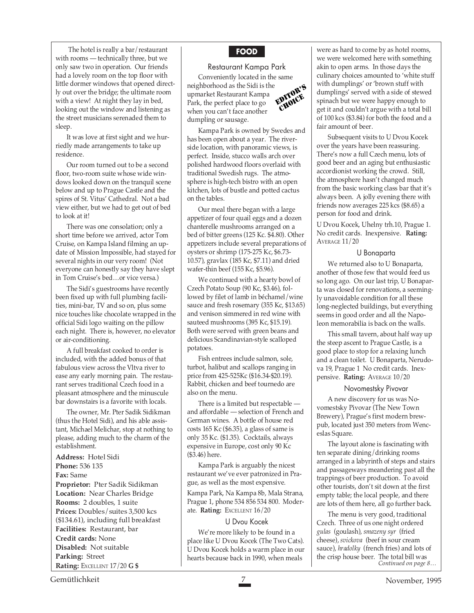The hotel is really a bar/restaurant with rooms — technically three, but we only saw two in operation. Our friends had a lovely room on the top floor with little dormer windows that opened directly out over the bridge; the ultimate room with a view! At night they lay in bed, looking out the window and listening as the street musicians serenaded them to sleep.

It was love at first sight and we hurriedly made arrangements to take up residence.

Our room turned out to be a second floor, two-room suite whose wide windows looked down on the tranquil scene below and up to Prague Castle and the spires of St. Vitus' Cathedral. Not a bad view either, but we had to get out of bed to look at it!

There was one consolation; only a short time before we arrived, actor Tom Cruise, on Kampa Island filming an update of Mission Impossible, had stayed for several nights in our very room! (Not everyone can honestly say they have slept in Tom Cruise's bed…or vice versa.)

The Sidi's guestrooms have recently been fixed up with full plumbing facilities, mini-bar, TV and so on, plus some nice touches like chocolate wrapped in the official Sidi logo waiting on the pillow each night. There is, however, no elevator or air-conditioning.

A full breakfast cooked to order is included, with the added bonus of that fabulous view across the Vltva river to ease any early morning pain. The restaurant serves traditional Czech food in a pleasant atmosphere and the minuscule bar downstairs is a favorite with locals.

The owner, Mr. Pter Sadik Sidikman (thus the Hotel Sidi), and his able assistant, Michael Melichar, stop at nothing to please, adding much to the charm of the establishment.

**Address:** Hotel Sidi **Phone:** 536 135 **Fax:** Same **Proprietor:** Pter Sadik Sidikman **Location:** Near Charles Bridge **Rooms:** 2 doubles, 1 suite **Prices:** Doubles/suites 3,500 kcs (\$134.61), including full breakfast **Facilities:** Restaurant, bar **Credit cards:** None **Disabled:** Not suitable **Parking:** Street **Rating:** EXCELLENT 17/20 **G \$**

#### **FOOD**

#### Restaurant Kampa Park

Conveniently located in the same neighborhood as the Sidi is the upmarket Restaurant Kampa Park, the perfect place to go when you can't face another dumpling or sausage. EDITOR'S CHOICE

Kampa Park is owned by Swedes and has been open about a year. The riverside location, with panoramic views, is perfect. Inside, stucco walls arch over polished hardwood floors overlaid with traditional Swedish rugs. The atmosphere is high-tech bistro with an open kitchen, lots of bustle and potted cactus on the tables.

Our meal there began with a large appetizer of four quail eggs and a dozen chanterelle mushrooms arranged on a bed of bitter greens (125 Kc. \$4.80). Other appetizers include several preparations of oysters or shrimp (175-275 Kc, \$6.73- 10.57), gravlax (185 Kc, \$7.11) and dried wafer-thin beef (155 Kc, \$5.96).

We continued with a hearty bowl of Czech Potato Soup (90 Kc, \$3.46), followed by filet of lamb in béchamel/wine sauce and fresh rosemary (355 Kc, \$13.65) and venison simmered in red wine with sauteed mushrooms (395 Kc, \$15.19). Both were served with green beans and delicious Scandinavian-style scalloped potatoes.

Fish entrees include salmon, sole, turbot, halibut and scallops ranging in price from 425-525Kc (\$16.34-\$20.19). Rabbit, chicken and beef tournedo are also on the menu.

There is a limited but respectable and affordable — selection of French and German wines. A bottle of house red costs 165 Kc (\$6.35), a glass of same is only 35 Kc. (\$1.35). Cocktails, always expensive in Europe, cost only 90 Kc (\$3.46) here.

Kampa Park is arguably the nicest restaurant we've ever patronized in Prague, as well as the most expensive.

Kampa Park, Na Kampa 8b, Mala Strana, Prague 1, phone 534 856 534 800. Moderate. **Rating:** EXCELLENT 16/20

#### U Dvou Kocek

We're more likely to be found in a place like U Dvou Kocek (The Two Cats). U Dvou Kocek holds a warm place in our hearts because back in 1990, when meals

were as hard to come by as hotel rooms, we were welcomed here with something akin to open arms. In those days the culinary choices amounted to 'white stuff with dumplings' or 'brown stuff with dumplings' served with a side of stewed spinach but we were happy enough to get it and couldn't argue with a total bill of 100 kcs (\$3.84) for both the food and a fair amount of beer.

Subsequent visits to U Dvou Kocek over the years have been reassuring. There's now a full Czech menu, lots of good beer and an aging but enthusiastic accordionist working the crowd. Still, the atmosphere hasn't changed much from the basic working class bar that it's always been. A jolly evening there with friends now averages 225 kcs (\$8.65) a person for food and drink.

U Dvou Kocek, Uhelny trh.10, Prague 1. No credit cards. Inexpensive. **Rating:** AVERAGE 11/20

#### U Bonaparta

We returned also to U Bonaparta, another of those few that would feed us so long ago. On our last trip, U Bonaparta was closed for renovations, a seemingly unavoidable condition for all these long-neglected buildings, but everything seems in good order and all the Napoleon memorabilia is back on the walls.

This small tavern, about half way up the steep ascent to Prague Castle, is a good place to stop for a relaxing lunch and a clean toilet. U Bonaparta, Nerudova 19, Prague 1 No credit cards. Inexpensive. **Rating:** AVERAGE 10/20

#### Novomestsky Pivovar

A new discovery for us was Novomestsky Pivovar (The New Town Brewery), Prague's first modern brewpub, located just 350 meters from Wenceslas Square.

The layout alone is fascinating with ten separate dining/drinking rooms arranged in a labyrinth of steps and stairs and passageways meandering past all the trappings of beer production. To avoid other tourists, don't sit down at the first empty table; the local people, and there are lots of them here, all go further back.

The menu is very good, traditional Czech. Three of us one night ordered *gulas* (goulash), *smazeny syr* (fried cheese), *svickova* (beef in sour cream sauce), *hradolky* (french fries) and lots of the crisp house beer. The total bill was *Continued on page 8…*